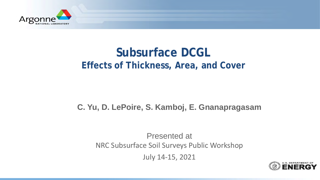

# **Subsurface DCGL Effects of Thickness, Area, and Cover**

#### **C. Yu, D. LePoire, S. Kamboj, E. Gnanapragasam**

Presented at NRC Subsurface Soil Surveys Public Workshop

July 14-15, 2021

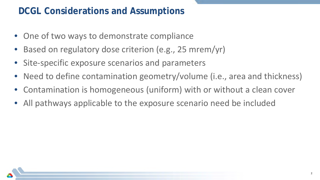# **DCGL Considerations and Assumptions**

- One of two ways to demonstrate compliance
- Based on regulatory dose criterion (e.g., 25 mrem/yr)
- Site-specific exposure scenarios and parameters
- Need to define contamination geometry/volume (i.e., area and thickness)
- Contamination is homogeneous (uniform) with or without a clean cover
- All pathways applicable to the exposure scenario need be included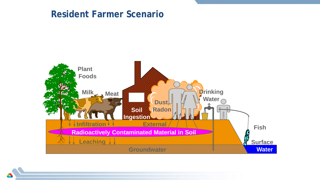### **Resident Farmer Scenario**

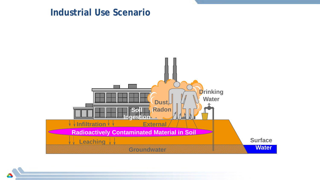### **Industrial Use Scenario**

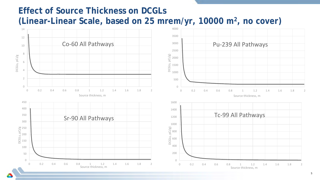### **Effect of Source Thickness on DCGLs (Linear-Linear Scale, based on 25 mrem/yr, 10000 m2, no cover)**

 Co-60 All Pathways Pu-239 All Pathways  $pCi/g$ DCGLS, pCi/g DCGLs, pCi/g) DCGLs, pCi/g  $\frac{15}{9}$  1500  $\bigcap$  0.2 0.4 0.6 0.8 1 1.2 1.4 1.6 1.8 2 0.2 0.4 0.6 0.8 1 1.2 1.4 1.6 1.8 2 Source thickness, m Source thickness, m Tc-99 All Pathways Sr-90 All Pathways DCGLs, pCi/g DCGLs, pCi/g)  $\bigcap$  0.2 0.4 0.6 0.8 1 1.2 1.4 1.6 1.8 2 0.2 0.4 0.6 0.8 1 1.2 1.4 1.6 1.8 2 Source thickness, m Source thickness, m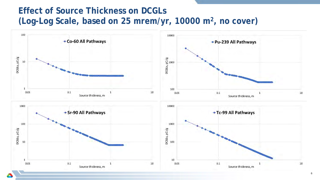# **Effect of Source Thickness on DCGLs (Log-Log Scale, based on 25 mrem/yr, 10000 m2, no cover)**

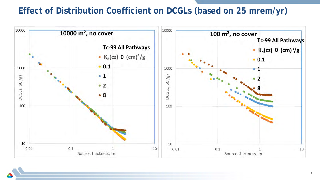### **Effect of Distribution Coefficient on DCGLs (based on 25 mrem/yr)**

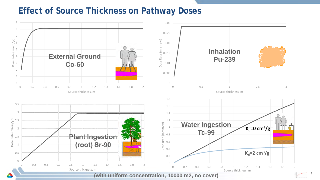#### **Effect of Source Thickness on Pathway Doses**



**8**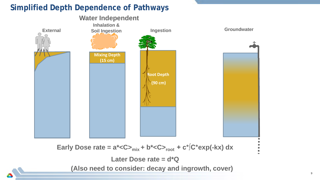#### **Simplified Depth Dependence of Pathways**



**Later Dose rate = d\*Q**

**(Also need to consider: decay and ingrowth, cover)**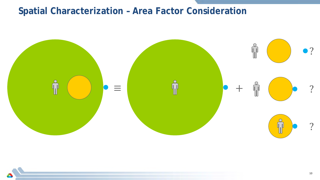# **Spatial Characterization - Area Factor Consideration**

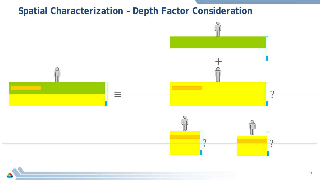